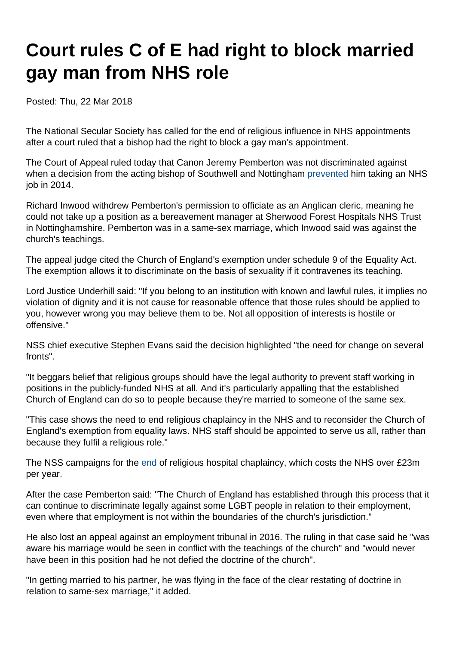## Court rules C of E had right to block married gay man from NHS role

Posted: Thu, 22 Mar 2018

The National Secular Society has called for the end of religious influence in NHS appointments after a court ruled that a bishop had the right to block a gay man's appointment.

The Court of Appeal ruled today that Canon Jeremy Pemberton was not discriminated against when a decision from the acting bishop of Southwell and Nottingham [prevented](https://www.secularism.org.uk/news/2014/08/church-blocks-nhs-job-offer-to-clergyman-over-same-sex-marriage) him taking an NHS job in 2014.

Richard Inwood withdrew Pemberton's permission to officiate as an Anglican cleric, meaning he could not take up a position as a bereavement manager at Sherwood Forest Hospitals NHS Trust in Nottinghamshire. Pemberton was in a same-sex marriage, which Inwood said was against the church's teachings.

The appeal judge cited the Church of England's exemption under schedule 9 of the Equality Act. The exemption allows it to discriminate on the basis of sexuality if it contravenes its teaching.

Lord Justice Underhill said: "If you belong to an institution with known and lawful rules, it implies no violation of dignity and it is not cause for reasonable offence that those rules should be applied to you, however wrong you may believe them to be. Not all opposition of interests is hostile or offensive."

NSS chief executive Stephen Evans said the decision highlighted "the need for change on several fronts".

"It beggars belief that religious groups should have the legal authority to prevent staff working in positions in the publicly-funded NHS at all. And it's particularly appalling that the established Church of England can do so to people because they're married to someone of the same sex.

"This case shows the need to end religious chaplaincy in the NHS and to reconsider the Church of England's exemption from equality laws. NHS staff should be appointed to serve us all, rather than because they fulfil a religious role."

The NSS campaigns for the [end](https://www.secularism.org.uk/chaplaincy/) of religious hospital chaplaincy, which costs the NHS over £23m per year.

After the case Pemberton said: "The Church of England has established through this process that it can continue to discriminate legally against some LGBT people in relation to their employment, even where that employment is not within the boundaries of the church's jurisdiction."

He also lost an appeal against an employment tribunal in 2016. The ruling in that case said he "was aware his marriage would be seen in conflict with the teachings of the church" and "would never have been in this position had he not defied the doctrine of the church".

"In getting married to his partner, he was flying in the face of the clear restating of doctrine in relation to same-sex marriage," it added.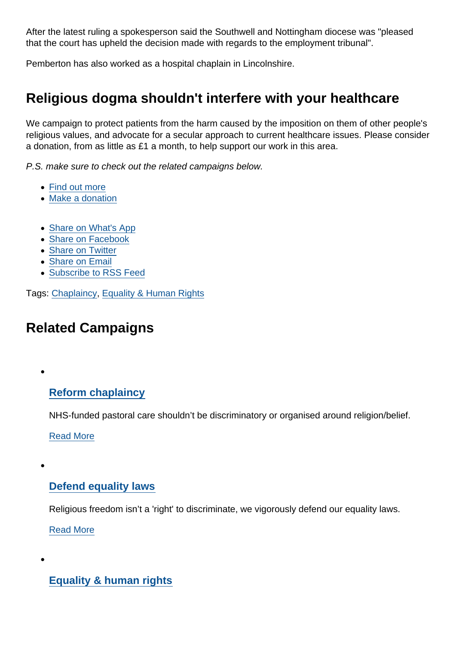After the latest ruling a spokesperson said the Southwell and Nottingham diocese was "pleased that the court has upheld the decision made with regards to the employment tribunal".

Pemberton has also worked as a hospital chaplain in Lincolnshire.

## Religious dogma shouldn't interfere with your healthcare

We campaign to protect patients from the harm caused by the imposition on them of other people's religious values, and advocate for a secular approach to current healthcare issues. Please consider a donation, from as little as £1 a month, to help support our work in this area.

P.S. make sure to check out the related campaigns below.

- [Find out more](https://www.secularism.org.uk/healthcare/)
- [Make a donation](https://www.secularism.org.uk/donate.html)
- [Share on What's App](whatsapp://send?text=http://www.secularism.org.uk/news/2018/03/court-rules-c-of-e-had-right-to-block-married-gay-man-from-nhs-role?format=pdf)
- [Share on Facebook](https://www.facebook.com/sharer/sharer.php?u=http://www.secularism.org.uk/news/2018/03/court-rules-c-of-e-had-right-to-block-married-gay-man-from-nhs-role?format=pdf&t=Court+rules+C+of+E+had+right+to+block+married+gay+man+from+NHS+role)
- [Share on Twitter](https://twitter.com/intent/tweet?url=http://www.secularism.org.uk/news/2018/03/court-rules-c-of-e-had-right-to-block-married-gay-man-from-nhs-role?format=pdf&text=Court+rules+C+of+E+had+right+to+block+married+gay+man+from+NHS+role&via=NatSecSoc)
- [Share on Email](https://www.secularism.org.uk/share.html?url=http://www.secularism.org.uk/news/2018/03/court-rules-c-of-e-had-right-to-block-married-gay-man-from-nhs-role?format=pdf&title=Court+rules+C+of+E+had+right+to+block+married+gay+man+from+NHS+role)
- [Subscribe to RSS Feed](/mnt/web-data/www/cp-nss/feeds/rss/news)

Tags: [Chaplaincy,](https://www.secularism.org.uk/news/tags/Chaplaincy) [Equality & Human Rights](https://www.secularism.org.uk/news/tags/Equality+&+Human+Rights)

## Related Campaigns

[Reform chaplaincy](https://www.secularism.org.uk/chaplaincy/)

NHS-funded pastoral care shouldn't be discriminatory or organised around religion/belief.

[Read More](https://www.secularism.org.uk/chaplaincy/)

## [Defend equality laws](https://www.secularism.org.uk/defend-equality-laws/)

Religious freedom isn't a 'right' to discriminate, we vigorously defend our equality laws.

[Read More](https://www.secularism.org.uk/defend-equality-laws/)

[Equality & human rights](https://www.secularism.org.uk/equality/)